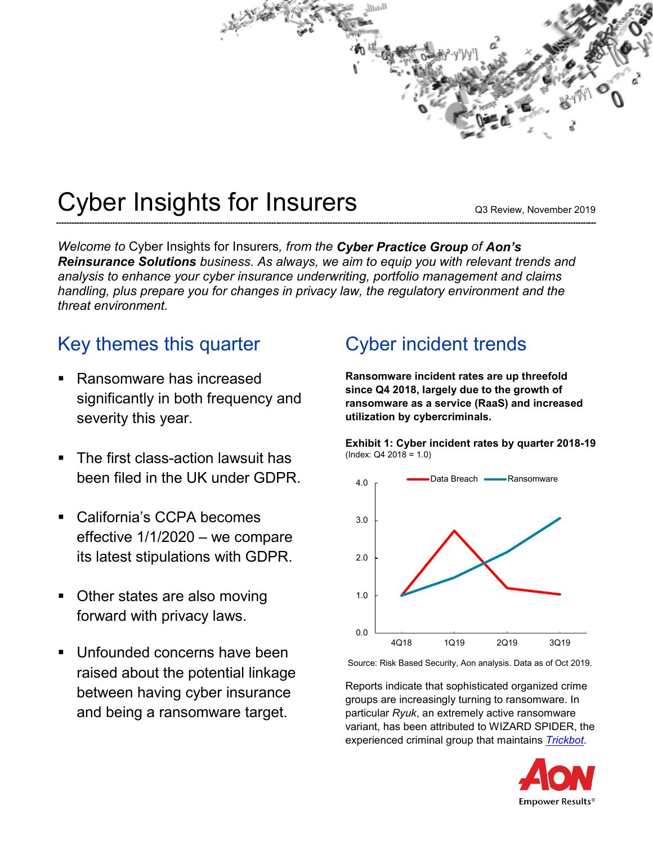

# Cyber Insights for Insurers

Q3 Review, November 2019

*Welcome to* Cyber Insights for Insurers*, from the Cyber Practice Group of Aon's Reinsurance Solutions business. As always, we aim to equip you with relevant trends and analysis to enhance your cyber insurance underwriting, portfolio management and claims handling, plus prepare you for changes in privacy law, the regulatory environment and the threat environment.*

### Key themes this quarter

- Ransomware has increased significantly in both frequency and severity this year.
- The first class-action lawsuit has been filed in the UK under GDPR.
- California's CCPA becomes effective 1/1/2020 – we compare its latest stipulations with GDPR.
- Other states are also moving forward with privacy laws.
- Unfounded concerns have been raised about the potential linkage between having cyber insurance and being a ransomware target.

### Cyber incident trends

**Ransomware incident rates are up threefold since Q4 2018, largely due to the growth of ransomware as a service (RaaS) and increased utilization by cybercriminals.** 





Source: Risk Based Security, Aon analysis. Data as of Oct 2019.

Reports indicate that sophisticated organized crime groups are increasingly turning to ransomware. In particular *Ryuk*, an extremely active ransomware variant, has been attributed to WIZARD SPIDER, the experienced criminal group that maintains *[Trickbot](https://blog.malwarebytes.com/detections/trojan-trickbot/)*.

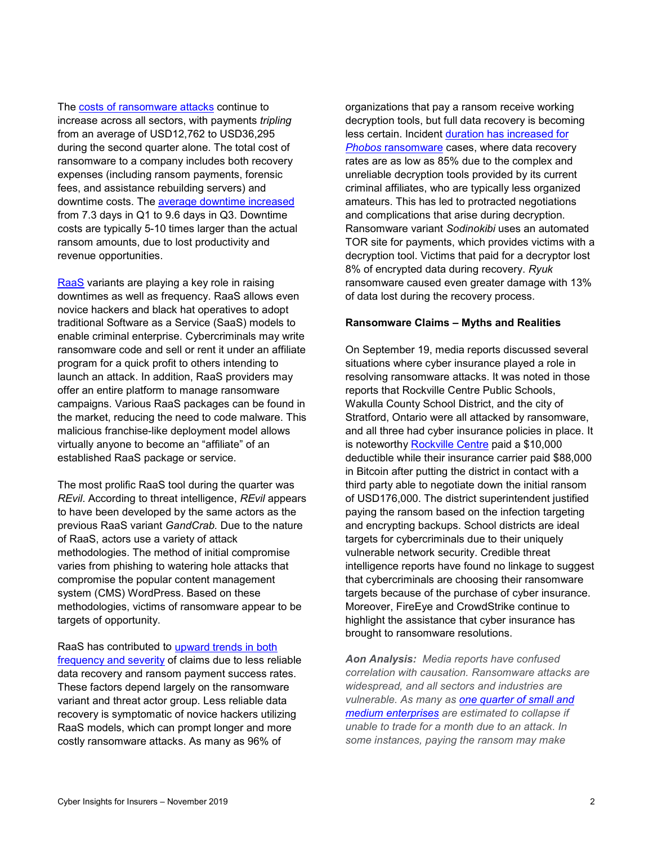The costs [of ransomware attacks](https://healthitsecurity.com/news/ransomware-costs-on-the-rise-causes-nearly-10-days-of-downtime) continue to increase across all sectors, with payments *tripling* from an average of USD12,762 to USD36,295 during the second quarter alone. The total cost of ransomware to a company includes both recovery expenses (including ransom payments, forensic fees, and assistance rebuilding servers) and downtime costs. The [average downtime](https://healthitsecurity.com/news/ransomware-costs-on-the-rise-causes-nearly-10-days-of-downtime) increased from 7.3 days in Q1 to 9.6 days in Q3. Downtime costs are typically 5-10 times larger than the actual ransom amounts, due to lost productivity and revenue opportunities.

[RaaS](https://www.tripwire.com/state-of-security/security-data-protection/ransomware-service-raas-works/) variants are playing a key role in raising downtimes as well as frequency. RaaS allows even novice hackers and black hat operatives to adopt traditional Software as a Service (SaaS) models to enable criminal enterprise. Cybercriminals may write ransomware code and sell or rent it under an affiliate program for a quick profit to others intending to launch an attack. In addition, RaaS providers may offer an entire platform to manage ransomware campaigns. Various RaaS packages can be found in the market, reducing the need to code malware. This malicious franchise-like deployment model allows virtually anyone to become an "affiliate" of an established RaaS package or service.

The most prolific RaaS tool during the quarter was *REvil*. According to threat intelligence, *REvil* appears to have been developed by the same actors as the previous RaaS variant *GandCrab.* Due to the nature of RaaS, actors use a variety of attack methodologies. The method of initial compromise varies from phishing to watering hole attacks that compromise the popular content management system (CMS) WordPress. Based on these methodologies, victims of ransomware appear to be targets of opportunity.

RaaS has contributed to [upward trends in both](https://www.coveware.com/blog/2019/7/15/ransomware-amounts-rise-3x-in-q2-as-ryuk-amp-sodinokibi-spread)  [frequency and severity](https://www.coveware.com/blog/2019/7/15/ransomware-amounts-rise-3x-in-q2-as-ryuk-amp-sodinokibi-spread) of claims due to less reliable data recovery and ransom payment success rates. These factors depend largely on the ransomware variant and threat actor group. Less reliable data recovery is symptomatic of novice hackers utilizing RaaS models, which can prompt longer and more costly ransomware attacks. As many as 96% of

organizations that pay a ransom receive working decryption tools, but full data recovery is becoming less certain. Incident [duration has increased for](https://www.coveware.com/phobos-ransomware-payment)  *Phobos* [ransomware](https://www.coveware.com/phobos-ransomware-payment) cases, where data recovery rates are as low as 85% due to the complex and unreliable decryption tools provided by its current criminal affiliates, who are typically less organized amateurs. This has led to protracted negotiations and complications that arise during decryption. Ransomware variant *Sodinokibi* uses an automated TOR site for payments, which provides victims with a decryption tool. Victims that paid for a decryptor lost 8% of encrypted data during recovery. *Ryuk* ransomware caused even greater damage with 13% of data lost during the recovery process.

#### **Ransomware Claims – Myths and Realities**

On September 19, media reports discussed several situations where cyber insurance played a role in resolving ransomware attacks. It was noted in those reports that Rockville Centre Public Schools, Wakulla County School District, and the city of Stratford, Ontario were all attacked by ransomware, and all three had cyber insurance policies in place. It is noteworthy [Rockville Centre](https://thejournal.com/articles/2019/09/19/district-pays-cyber-ransom-as-business-decision.aspx) paid a \$10,000 deductible while their insurance carrier paid \$88,000 in Bitcoin after putting the district in contact with a third party able to negotiate down the initial ransom of USD176,000. The district superintendent justified paying the ransom based on the infection targeting and encrypting backups. School districts are ideal targets for cybercriminals due to their uniquely vulnerable network security. Credible threat intelligence reports have found no linkage to suggest that cybercriminals are choosing their ransomware targets because of the purchase of cyber insurance. Moreover, FireEye and CrowdStrike continue to highlight the assistance that cyber insurance has brought to ransomware resolutions.

*Aon Analysis: Media reports have confused correlation with causation. Ransomware attacks are widespread, and all sectors and industries are vulnerable. As many as [one quarter of small and](https://www.scmagazineuk.com/ransomware-attacks-three-quarters-bec-attacks-half/article/1595003)  [medium enterprises](https://www.scmagazineuk.com/ransomware-attacks-three-quarters-bec-attacks-half/article/1595003) are estimated to collapse if unable to trade for a month due to an attack. In some instances, paying the ransom may make*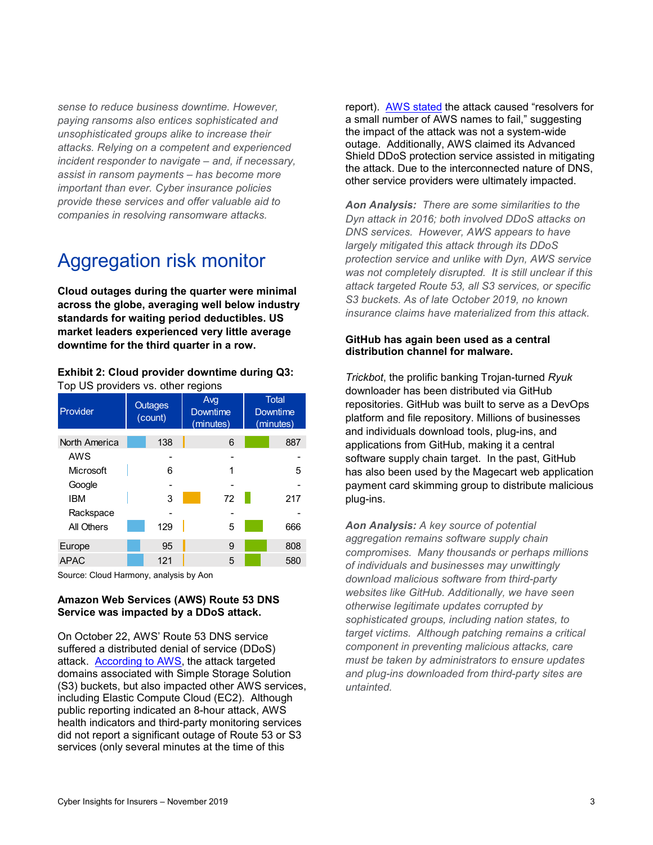*sense to reduce business downtime. However, paying ransoms also entices sophisticated and unsophisticated groups alike to increase their attacks. Relying on a competent and experienced incident responder to navigate – and, if necessary, assist in ransom payments – has become more important than ever. Cyber insurance policies provide these services and offer valuable aid to companies in resolving ransomware attacks.*

### Aggregation risk monitor

**Cloud outages during the quarter were minimal across the globe, averaging well below industry standards for waiting period deductibles. US market leaders experienced very little average downtime for the third quarter in a row.**

#### **Exhibit 2: Cloud provider downtime during Q3:** Top US providers vs. other regions

| Provider      | <b>Outages</b><br>(count) |     | Avg<br><b>Downtime</b><br>(minutes) | <b>Total</b><br>Downtime<br>(minutes) |  |
|---------------|---------------------------|-----|-------------------------------------|---------------------------------------|--|
| North America |                           | 138 | 6                                   | 887                                   |  |
| AWS           |                           |     |                                     |                                       |  |
| Microsoft     |                           | 6   | 1                                   | 5                                     |  |
| Google        |                           |     |                                     |                                       |  |
| <b>IBM</b>    |                           | 3   | 72                                  | 217                                   |  |
| Rackspace     |                           |     |                                     |                                       |  |
| All Others    |                           | 129 | 5                                   | 666                                   |  |
| Europe        |                           | 95  | 9                                   | 808                                   |  |
| <b>APAC</b>   |                           | 121 | 5                                   | 580                                   |  |

Source: Cloud Harmony, analysis by Aon

#### **Amazon Web Services (AWS) Route 53 DNS Service was impacted by a DDoS attack.**

On October 22, AWS' Route 53 DNS service suffered a distributed denial of service (DDoS) attack. [According to AWS,](https://status.aws.amazon.com/) the attack targeted domains associated with Simple Storage Solution (S3) buckets, but also impacted other AWS services, including Elastic Compute Cloud (EC2). Although public reporting indicated an 8-hour attack, AWS health indicators and third-party monitoring services did not report a significant outage of Route 53 or S3 services (only several minutes at the time of this

report). [AWS stated](https://www.theregister.co.uk/2019/10/22/aws_dns_ddos/) the attack caused "resolvers for a small number of AWS names to fail," suggesting the impact of the attack was not a system-wide outage. Additionally, AWS claimed its Advanced Shield DDoS protection service assisted in mitigating the attack. Due to the interconnected nature of DNS, other service providers were ultimately impacted.

*Aon Analysis: There are some similarities to the Dyn attack in 2016; both involved DDoS attacks on DNS services. However, AWS appears to have largely mitigated this attack through its DDoS protection service and unlike with Dyn, AWS service was not completely disrupted. It is still unclear if this attack targeted Route 53, all S3 services, or specific S3 buckets. As of late October 2019, no known insurance claims have materialized from this attack.* 

#### **GitHub has again been used as a central distribution channel for malware.**

*Trickbot*, the prolific banking Trojan-turned *Ryuk* downloader has been distributed via GitHub repositories. GitHub was built to serve as a DevOps platform and file repository. Millions of businesses and individuals download tools, plug-ins, and applications from GitHub, making it a central software supply chain target. In the past, GitHub has also been used by the Magecart web application payment card skimming group to distribute malicious plug-ins.

*Aon Analysis: A key source of potential aggregation remains software supply chain compromises. Many thousands or perhaps millions of individuals and businesses may unwittingly download malicious software from third-party websites like GitHub. Additionally, we have seen otherwise legitimate updates corrupted by sophisticated groups, including nation states, to target victims. Although patching remains a critical component in preventing malicious attacks, care must be taken by administrators to ensure updates and plug-ins downloaded from third-party sites are untainted.*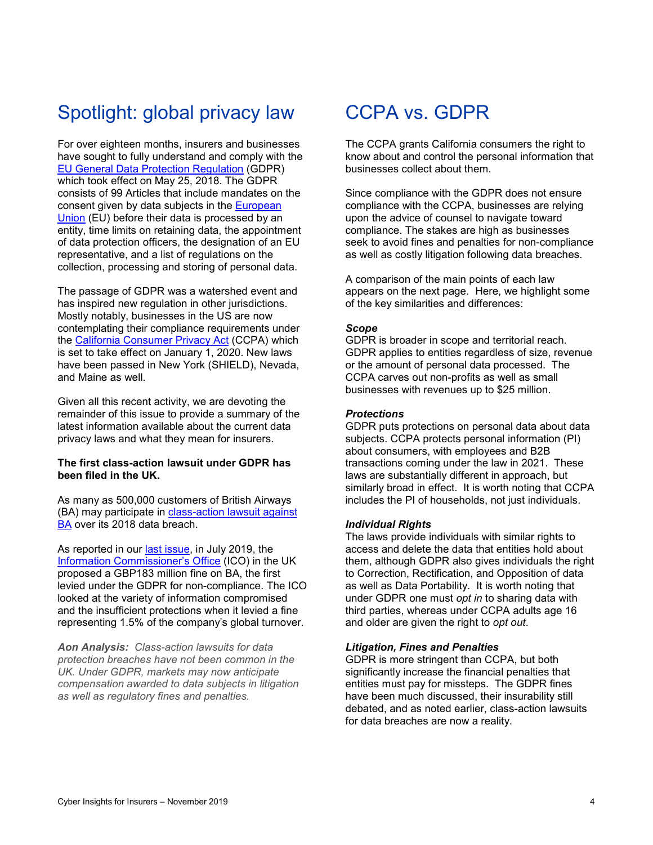### Spotlight: global privacy law

For over eighteen months, insurers and businesses have sought to fully understand and comply with the [EU General Data Protection Regulation](https://ec.europa.eu/info/law/law-topic/data-protection_en) (GDPR) which took effect on May 25, 2018. The GDPR consists of 99 Articles that include mandates on the consent given by data subjects in the [European](https://europa.eu/european-union/index_en)  [Union](https://europa.eu/european-union/index_en) (EU) before their data is processed by an entity, time limits on retaining data, the appointment of data protection officers, the designation of an EU representative, and a list of regulations on the collection, processing and storing of personal data.

The passage of GDPR was a watershed event and has inspired new regulation in other jurisdictions. Mostly notably, businesses in the US are now contemplating their compliance requirements under the [California Consumer Privacy Act](https://leginfo.legislature.ca.gov/faces/codes_displayText.xhtml?lawCode=CIV&division=3.&title=1.81.5.&part=4.&chapter=&article=) (CCPA) which is set to take effect on January 1, 2020. New laws have been passed in New York (SHIELD), Nevada, and Maine as well.

Given all this recent activity, we are devoting the remainder of this issue to provide a summary of the latest information available about the current data privacy laws and what they mean for insurers.

#### **The first class-action lawsuit under GDPR has been filed in the UK.**

As many as 500,000 customers of British Airways (BA) may participate in [class-action lawsuit against](https://www.theinquirer.net/inquirer/news/3082323/british-airways-breach-class-action-go-ahead)  [BA](https://www.theinquirer.net/inquirer/news/3082323/british-airways-breach-class-action-go-ahead) over its 2018 data breach.

As reported in our [last issue,](http://app.response.aonunited.com/e/er?s=362693299&lid=5573&elqTrackId=f53936ad1b5b41228216feb415584822&elq=92758e81bf624c1cb88d37bdb36fe465&elqaid=4952&elqat=1) in July 2019, the [Information Commissioner's Office](https://ico.org.uk/) (ICO) in the UK proposed a GBP183 million fine on BA, the first levied under the GDPR for non-compliance. The ICO looked at the variety of information compromised and the insufficient protections when it levied a fine representing 1.5% of the company's global turnover.

*Aon Analysis: Class-action lawsuits for data protection breaches have not been common in the UK. Under GDPR, markets may now anticipate compensation awarded to data subjects in litigation as well as regulatory fines and penalties.* 

### CCPA vs. GDPR

The CCPA grants California consumers the right to know about and control the personal information that businesses collect about them.

Since compliance with the GDPR does not ensure compliance with the CCPA, businesses are relying upon the advice of counsel to navigate toward compliance. The stakes are high as businesses seek to avoid fines and penalties for non-compliance as well as costly litigation following data breaches.

A comparison of the main points of each law appears on the next page. Here, we highlight some of the key similarities and differences:

#### *Scope*

GDPR is broader in scope and territorial reach. GDPR applies to entities regardless of size, revenue or the amount of personal data processed. The CCPA carves out non-profits as well as small businesses with revenues up to \$25 million.

#### *Protections*

GDPR puts protections on personal data about data subjects. CCPA protects personal information (PI) about consumers, with employees and B2B transactions coming under the law in 2021. These laws are substantially different in approach, but similarly broad in effect. It is worth noting that CCPA includes the PI of households, not just individuals.

#### *Individual Rights*

The laws provide individuals with similar rights to access and delete the data that entities hold about them, although GDPR also gives individuals the right to Correction, Rectification, and Opposition of data as well as Data Portability. It is worth noting that under GDPR one must *opt in* to sharing data with third parties, whereas under CCPA adults age 16 and older are given the right to *opt out*.

#### *Litigation, Fines and Penalties*

GDPR is more stringent than CCPA, but both significantly increase the financial penalties that entities must pay for missteps. The GDPR fines have been much discussed, their insurability still debated, and as noted earlier, class-action lawsuits for data breaches are now a reality.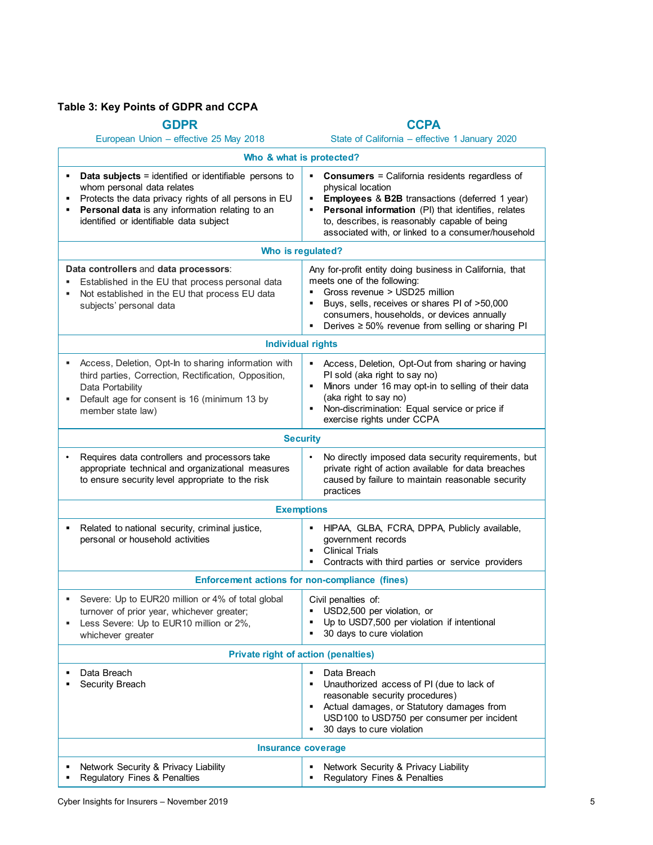### **Table 3: Key Points of GDPR and CCPA**

| <b>GDPR</b>                                                                                                                                                                                                                                       | <b>CCPA</b>                                                                                                                                                                                                                                                                                                           |  |  |  |  |
|---------------------------------------------------------------------------------------------------------------------------------------------------------------------------------------------------------------------------------------------------|-----------------------------------------------------------------------------------------------------------------------------------------------------------------------------------------------------------------------------------------------------------------------------------------------------------------------|--|--|--|--|
| European Union - effective 25 May 2018                                                                                                                                                                                                            | State of California - effective 1 January 2020                                                                                                                                                                                                                                                                        |  |  |  |  |
| Who & what is protected?                                                                                                                                                                                                                          |                                                                                                                                                                                                                                                                                                                       |  |  |  |  |
| <b>Data subjects</b> = identified or identifiable persons to<br>whom personal data relates<br>Protects the data privacy rights of all persons in EU<br>Personal data is any information relating to an<br>identified or identifiable data subject | <b>Consumers = California residents regardless of</b><br>٠<br>physical location<br>Employees & B2B transactions (deferred 1 year)<br>٠<br>Personal information (PI) that identifies, relates<br>٠<br>to, describes, is reasonably capable of being<br>associated with, or linked to a consumer/household              |  |  |  |  |
| Who is regulated?                                                                                                                                                                                                                                 |                                                                                                                                                                                                                                                                                                                       |  |  |  |  |
| Data controllers and data processors:<br>Established in the EU that process personal data<br>Not established in the EU that process EU data<br>٠<br>subjects' personal data                                                                       | Any for-profit entity doing business in California, that<br>meets one of the following:<br>Gross revenue > USD25 million<br>$\blacksquare$<br>Buys, sells, receives or shares PI of >50,000<br>consumers, households, or devices annually<br>Derives $\geq 50\%$ revenue from selling or sharing PI<br>$\mathbf{E}$ . |  |  |  |  |
| <b>Individual rights</b>                                                                                                                                                                                                                          |                                                                                                                                                                                                                                                                                                                       |  |  |  |  |
| Access, Deletion, Opt-In to sharing information with<br>٠<br>third parties, Correction, Rectification, Opposition,<br>Data Portability<br>Default age for consent is 16 (minimum 13 by<br>٠<br>member state law)                                  | Access, Deletion, Opt-Out from sharing or having<br>PI sold (aka right to say no)<br>Minors under 16 may opt-in to selling of their data<br>(aka right to say no)<br>Non-discrimination: Equal service or price if<br>exercise rights under CCPA                                                                      |  |  |  |  |
| <b>Security</b>                                                                                                                                                                                                                                   |                                                                                                                                                                                                                                                                                                                       |  |  |  |  |
| Requires data controllers and processors take<br>appropriate technical and organizational measures<br>to ensure security level appropriate to the risk                                                                                            | No directly imposed data security requirements, but<br>$\bullet$<br>private right of action available for data breaches<br>caused by failure to maintain reasonable security<br>practices                                                                                                                             |  |  |  |  |
| <b>Exemptions</b>                                                                                                                                                                                                                                 |                                                                                                                                                                                                                                                                                                                       |  |  |  |  |
| Related to national security, criminal justice,<br>٠<br>personal or household activities                                                                                                                                                          | HIPAA, GLBA, FCRA, DPPA, Publicly available,<br>government records<br><b>Clinical Trials</b><br>$\blacksquare$<br>Contracts with third parties or service providers                                                                                                                                                   |  |  |  |  |
| <b>Enforcement actions for non-compliance (fines)</b>                                                                                                                                                                                             |                                                                                                                                                                                                                                                                                                                       |  |  |  |  |
| Severe: Up to EUR20 million or 4% of total global<br>turnover of prior year, whichever greater;<br>Less Severe: Up to EUR10 million or 2%,<br>٠<br>whichever greater                                                                              | Civil penalties of:<br>USD2,500 per violation, or<br>Up to USD7,500 per violation if intentional<br>30 days to cure violation<br>٠                                                                                                                                                                                    |  |  |  |  |
| <b>Private right of action (penalties)</b>                                                                                                                                                                                                        |                                                                                                                                                                                                                                                                                                                       |  |  |  |  |
| Data Breach<br>Security Breach                                                                                                                                                                                                                    | Data Breach<br>٠<br>Unauthorized access of PI (due to lack of<br>٠<br>reasonable security procedures)<br>Actual damages, or Statutory damages from<br>٠<br>USD100 to USD750 per consumer per incident<br>30 days to cure violation<br>٠                                                                               |  |  |  |  |
| <b>Insurance coverage</b>                                                                                                                                                                                                                         |                                                                                                                                                                                                                                                                                                                       |  |  |  |  |
| Network Security & Privacy Liability<br>Regulatory Fines & Penalties                                                                                                                                                                              | Network Security & Privacy Liability<br>Regulatory Fines & Penalties                                                                                                                                                                                                                                                  |  |  |  |  |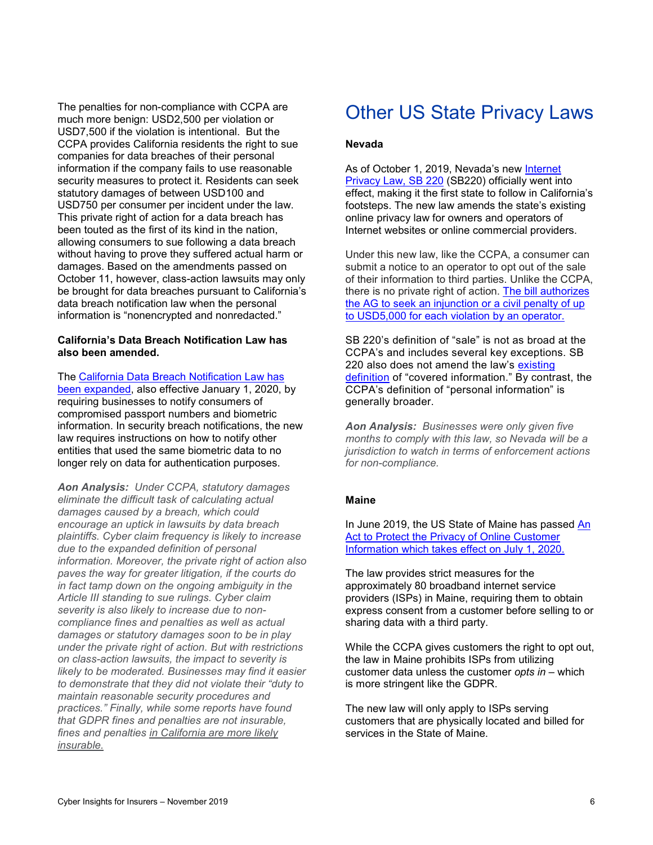The penalties for non-compliance with CCPA are much more benign: USD2,500 per violation or USD7,500 if the violation is intentional. But the CCPA provides California residents the right to sue companies for data breaches of their personal information if the company fails to use reasonable security measures to protect it. Residents can seek statutory damages of between USD100 and USD750 per consumer per incident under the law. This private right of action for a data breach has been touted as the first of its kind in the nation, allowing consumers to sue following a data breach without having to prove they suffered actual harm or damages. Based on the amendments passed on October 11, however, class-action lawsuits may only be brought for data breaches pursuant to California's data breach notification law when the personal information is "nonencrypted and nonredacted."

#### **California's Data Breach Notification Law has also been amended.**

The [California Data Breach Notification Law has](https://portswigger.net/daily-swig/california-expands-data-breach-notification-law-to-include-passport-and-biometric-data)  [been expanded,](https://portswigger.net/daily-swig/california-expands-data-breach-notification-law-to-include-passport-and-biometric-data) also effective January 1, 2020, by requiring businesses to notify consumers of compromised passport numbers and biometric information. In security breach notifications, the new law requires instructions on how to notify other entities that used the same biometric data to no longer rely on data for authentication purposes.

*Aon Analysis: Under CCPA, statutory damages eliminate the difficult task of calculating actual damages caused by a breach, which could encourage an uptick in lawsuits by data breach plaintiffs. Cyber claim frequency is likely to increase due to the expanded definition of personal information. Moreover, the private right of action also paves the way for greater litigation, if the courts do in fact tamp down on the ongoing ambiguity in the Article III standing to sue rulings. Cyber claim severity is also likely to increase due to noncompliance fines and penalties as well as actual damages or statutory damages soon to be in play under the private right of action. But with restrictions on class-action lawsuits, the impact to severity is likely to be moderated. Businesses may find it easier to demonstrate that they did not violate their "duty to maintain reasonable security procedures and practices." Finally, while some reports have found that GDPR fines and penalties are not insurable, fines and penalties [in California are more likely](https://www.insurancejournal.com/news/west/2018/07/03/494203.htm)  [insurable.](https://www.insurancejournal.com/news/west/2018/07/03/494203.htm)*

### Other US State Privacy Laws

#### **Nevada**

As of October 1, 2019, Nevada's new Internet [Privacy Law, SB 220](https://legiscan.com/NV/text/SB220/id/2027196) (SB220) officially went into effect, making it the first state to follow in California's footsteps. The new law amends the state's existing online privacy law for owners and operators of Internet websites or online commercial providers.

Under this new law, like the CCPA, a consumer can submit a notice to an operator to opt out of the sale of their information to third parties. Unlike the CCPA, there is no private right of action. [The bill authorizes](https://www.jdsupra.com/legalnews/new-nevada-privacy-law-takes-effect-in-62796/) [the AG to seek an injunction or a civil penalty of up](https://www.jdsupra.com/legalnews/new-nevada-privacy-law-takes-effect-in-62796/)  [to USD5,000 for each violation by an operator.](https://www.jdsupra.com/legalnews/new-nevada-privacy-law-takes-effect-in-62796/) 

SB 220's definition of "sale" is not as broad at the CCPA's and includes several key exceptions. SB 220 also does not amend the law's existing [definition](https://www.jdsupra.com/legalnews/new-nevada-privacy-law-takes-effect-in-62796/#NRS603ASec320) of "covered information." By contrast, the CCPA's definition of "personal information" is generally broader.

*Aon Analysis: Businesses were only given five months to comply with this law, so Nevada will be a jurisdiction to watch in terms of enforcement actions for non-compliance.* 

#### **Maine**

In June 2019, the US State of Maine has passed [An](http://www.mainelegislature.org/legis/bills/getPDF.asp?paper=SP0275&item=1&snum=129)  [Act to Protect the Privacy of Online Customer](http://www.mainelegislature.org/legis/bills/getPDF.asp?paper=SP0275&item=1&snum=129)  [Information which takes effect on July 1, 2020.](http://www.mainelegislature.org/legis/bills/getPDF.asp?paper=SP0275&item=1&snum=129) 

The law provides strict measures for the approximately 80 broadband internet service providers (ISPs) in Maine, requiring them to obtain express consent from a customer before selling to or sharing data with a third party.

While the CCPA gives customers the right to opt out, the law in Maine prohibits ISPs from utilizing customer data unless the customer *opts in* – which is more stringent like the GDPR.

The new law will only apply to ISPs serving customers that are physically located and billed for services in the State of Maine.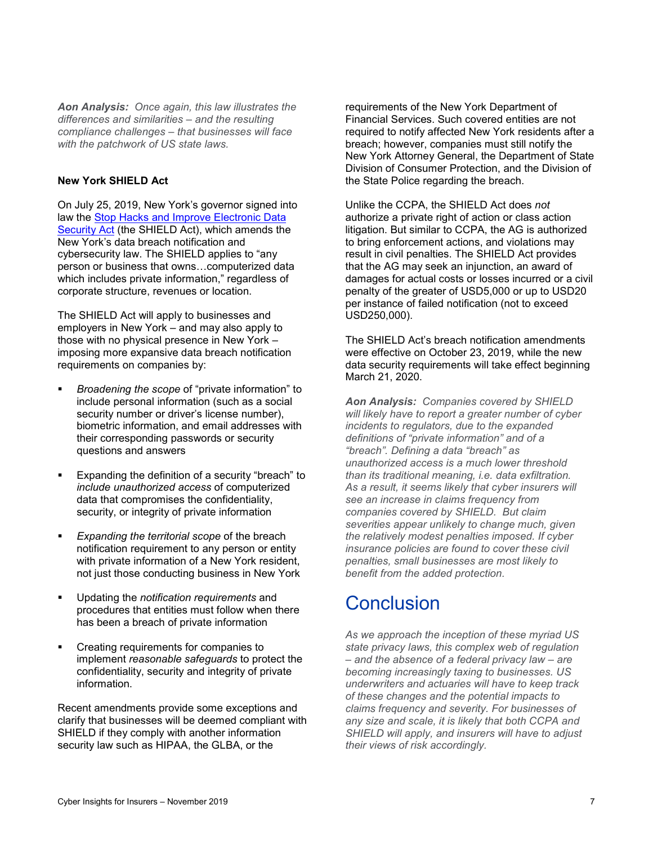*Aon Analysis: Once again, this law illustrates the differences and similarities – and the resulting compliance challenges – that businesses will face with the patchwork of US state laws.* 

#### **New York SHIELD Act**

On July 25, 2019, New York's governor signed into law the [Stop Hacks and Improve Electronic Data](https://legislation.nysenate.gov/pdf/bills/2019/S5575B)  [Security Act](https://legislation.nysenate.gov/pdf/bills/2019/S5575B) (the SHIELD Act), which amends the New York's data breach notification and cybersecurity law. The SHIELD applies to "any person or business that owns…computerized data which includes private information," regardless of corporate structure, revenues or location.

The SHIELD Act will apply to businesses and employers in New York – and may also apply to those with no physical presence in New York – imposing more expansive data breach notification requirements on companies by:

- *Broadening the scope* of "private information" to include personal information (such as a social security number or driver's license number), biometric information, and email addresses with their corresponding passwords or security questions and answers
- Expanding the definition of a security "breach" to *include unauthorized access* of computerized data that compromises the confidentiality, security, or integrity of private information
- *Expanding the territorial scope* of the breach notification requirement to any person or entity with private information of a New York resident. not just those conducting business in New York
- Updating the *notification requirements* and procedures that entities must follow when there has been a breach of private information
- Creating requirements for companies to implement *reasonable safeguards* to protect the confidentiality, security and integrity of private information.

Recent amendments provide some exceptions and clarify that businesses will be deemed compliant with SHIELD if they comply with another information security law such as HIPAA, the GLBA, or the

requirements of the New York Department of Financial Services. Such covered entities are not required to notify affected New York residents after a breach; however, companies must still notify the New York Attorney General, the Department of State Division of Consumer Protection, and the Division of the State Police regarding the breach.

Unlike the CCPA, the SHIELD Act does *not* authorize a private right of action or class action litigation. But similar to CCPA, the AG is authorized to bring enforcement actions, and violations may result in civil penalties. The SHIELD Act provides that the AG may seek an injunction, an award of damages for actual costs or losses incurred or a civil penalty of the greater of USD5,000 or up to USD20 per instance of failed notification (not to exceed USD250,000).

The SHIELD Act's breach notification amendments were effective on October 23, 2019, while the new data security requirements will take effect beginning March 21, 2020.

*Aon Analysis: Companies covered by SHIELD will likely have to report a greater number of cyber incidents to regulators, due to the expanded definitions of "private information" and of a "breach". Defining a data "breach" as unauthorized access is a much lower threshold than its traditional meaning, i.e. data exfiltration. As a result, it seems likely that cyber insurers will see an increase in claims frequency from companies covered by SHIELD. But claim severities appear unlikely to change much, given the relatively modest penalties imposed. If cyber insurance policies are found to cover these civil penalties, small businesses are most likely to benefit from the added protection.*

### **Conclusion**

*As we approach the inception of these myriad US state privacy laws, this complex web of regulation – and the absence of a federal privacy law – are becoming increasingly taxing to businesses. US underwriters and actuaries will have to keep track of these changes and the potential impacts to claims frequency and severity. For businesses of any size and scale, it is likely that both CCPA and SHIELD will apply, and insurers will have to adjust their views of risk accordingly.*